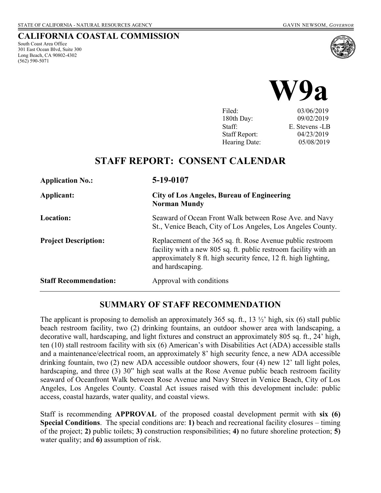#### **CALIFORNIA COASTAL COMMISSION**

South Coast Area Office 301 East Ocean Blvd, Suite 300 Long Beach, CA 90802-4302 (562) 590-5071





Filed: 03/06/2019 180th Day: 09/02/2019 Staff: E. Stevens -LB Staff Report: 04/23/2019 Hearing Date: 05/08/2019

# **STAFF REPORT: CONSENT CALENDAR**

| <b>Application No.:</b>      | 5-19-0107                                                                                                                                                                                                            |
|------------------------------|----------------------------------------------------------------------------------------------------------------------------------------------------------------------------------------------------------------------|
| Applicant:                   | <b>City of Los Angeles, Bureau of Engineering</b><br><b>Norman Mundy</b>                                                                                                                                             |
| <b>Location:</b>             | Seaward of Ocean Front Walk between Rose Ave. and Navy<br>St., Venice Beach, City of Los Angeles, Los Angeles County.                                                                                                |
| <b>Project Description:</b>  | Replacement of the 365 sq. ft. Rose Avenue public restroom<br>facility with a new 805 sq. ft. public restroom facility with an<br>approximately 8 ft. high security fence, 12 ft. high lighting,<br>and hardscaping. |
| <b>Staff Recommendation:</b> | Approval with conditions                                                                                                                                                                                             |

### **SUMMARY OF STAFF RECOMMENDATION**

The applicant is proposing to demolish an approximately 365 sq. ft., 13  $\frac{1}{2}$  high, six (6) stall public beach restroom facility, two (2) drinking fountains, an outdoor shower area with landscaping, a decorative wall, hardscaping, and light fixtures and construct an approximately 805 sq. ft., 24' high, ten (10) stall restroom facility with six (6) American's with Disabilities Act (ADA) accessible stalls and a maintenance/electrical room, an approximately 8' high security fence, a new ADA accessible drinking fountain, two (2) new ADA accessible outdoor showers, four (4) new 12' tall light poles, hardscaping, and three (3) 30" high seat walls at the Rose Avenue public beach restroom facility seaward of Oceanfront Walk between Rose Avenue and Navy Street in Venice Beach, City of Los Angeles, Los Angeles County. Coastal Act issues raised with this development include: public access, coastal hazards, water quality, and coastal views.

Staff is recommending **APPROVAL** of the proposed coastal development permit with **six (6) Special Conditions**. The special conditions are: **1)** beach and recreational facility closures – timing of the project; **2)** public toilets; **3)** construction responsibilities; **4)** no future shoreline protection; **5)**  water quality; and **6)** assumption of risk.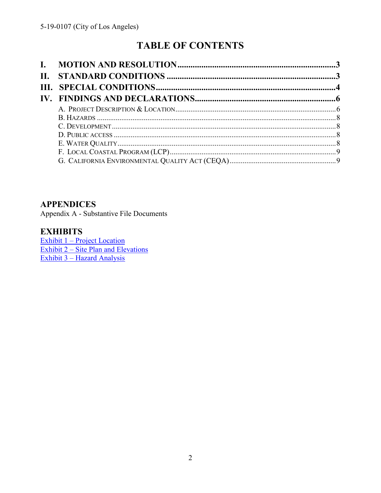# **TABLE OF CONTENTS**

### **APPENDICES**

Appendix A - Substantive File Documents

### **EXHIBITS**

Exhibit  $1 -$ Project Location<br>Exhibit  $2 -$  Site Plan and Elevations Exhibit 3 - Hazard Analysis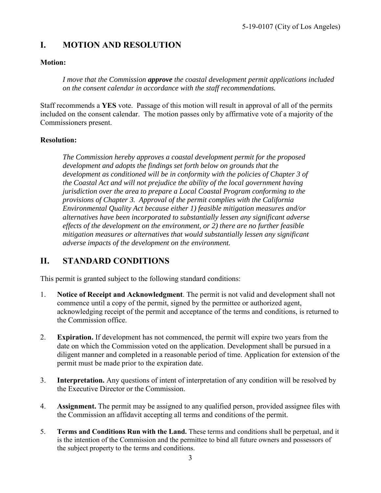# <span id="page-2-0"></span>**I. MOTION AND RESOLUTION**

#### **Motion:**

*I move that the Commission approve the coastal development permit applications included on the consent calendar in accordance with the staff recommendations.*

Staff recommends a **YES** vote. Passage of this motion will result in approval of all of the permits included on the consent calendar. The motion passes only by affirmative vote of a majority of the Commissioners present.

#### **Resolution:**

*The Commission hereby approves a coastal development permit for the proposed development and adopts the findings set forth below on grounds that the development as conditioned will be in conformity with the policies of Chapter 3 of the Coastal Act and will not prejudice the ability of the local government having jurisdiction over the area to prepare a Local Coastal Program conforming to the provisions of Chapter 3. Approval of the permit complies with the California Environmental Quality Act because either 1) feasible mitigation measures and/or alternatives have been incorporated to substantially lessen any significant adverse effects of the development on the environment, or 2) there are no further feasible mitigation measures or alternatives that would substantially lessen any significant adverse impacts of the development on the environment.* 

### <span id="page-2-1"></span>**II. STANDARD CONDITIONS**

This permit is granted subject to the following standard conditions:

- 1. **Notice of Receipt and Acknowledgment**. The permit is not valid and development shall not commence until a copy of the permit, signed by the permittee or authorized agent, acknowledging receipt of the permit and acceptance of the terms and conditions, is returned to the Commission office.
- 2. **Expiration.** If development has not commenced, the permit will expire two years from the date on which the Commission voted on the application. Development shall be pursued in a diligent manner and completed in a reasonable period of time. Application for extension of the permit must be made prior to the expiration date.
- 3. **Interpretation.** Any questions of intent of interpretation of any condition will be resolved by the Executive Director or the Commission.
- 4. **Assignment.** The permit may be assigned to any qualified person, provided assignee files with the Commission an affidavit accepting all terms and conditions of the permit.
- 5. **Terms and Conditions Run with the Land.** These terms and conditions shall be perpetual, and it is the intention of the Commission and the permittee to bind all future owners and possessors of the subject property to the terms and conditions.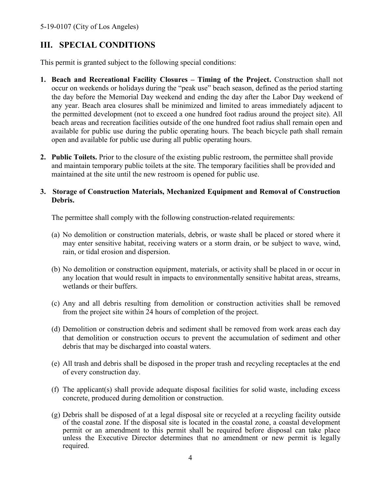### <span id="page-3-0"></span>**III. SPECIAL CONDITIONS**

This permit is granted subject to the following special conditions:

- **1. Beach and Recreational Facility Closures Timing of the Project.** Construction shall not occur on weekends or holidays during the "peak use" beach season, defined as the period starting the day before the Memorial Day weekend and ending the day after the Labor Day weekend of any year. Beach area closures shall be minimized and limited to areas immediately adjacent to the permitted development (not to exceed a one hundred foot radius around the project site). All beach areas and recreation facilities outside of the one hundred foot radius shall remain open and available for public use during the public operating hours. The beach bicycle path shall remain open and available for public use during all public operating hours.
- **2. Public Toilets.** Prior to the closure of the existing public restroom, the permittee shall provide and maintain temporary public toilets at the site. The temporary facilities shall be provided and maintained at the site until the new restroom is opened for public use.

#### **3. Storage of Construction Materials, Mechanized Equipment and Removal of Construction Debris.**

The permittee shall comply with the following construction-related requirements:

- (a) No demolition or construction materials, debris, or waste shall be placed or stored where it may enter sensitive habitat, receiving waters or a storm drain, or be subject to wave, wind, rain, or tidal erosion and dispersion.
- (b) No demolition or construction equipment, materials, or activity shall be placed in or occur in any location that would result in impacts to environmentally sensitive habitat areas, streams, wetlands or their buffers.
- (c) Any and all debris resulting from demolition or construction activities shall be removed from the project site within 24 hours of completion of the project.
- (d) Demolition or construction debris and sediment shall be removed from work areas each day that demolition or construction occurs to prevent the accumulation of sediment and other debris that may be discharged into coastal waters.
- (e) All trash and debris shall be disposed in the proper trash and recycling receptacles at the end of every construction day.
- (f) The applicant(s) shall provide adequate disposal facilities for solid waste, including excess concrete, produced during demolition or construction.
- (g) Debris shall be disposed of at a legal disposal site or recycled at a recycling facility outside of the coastal zone. If the disposal site is located in the coastal zone, a coastal development permit or an amendment to this permit shall be required before disposal can take place unless the Executive Director determines that no amendment or new permit is legally required.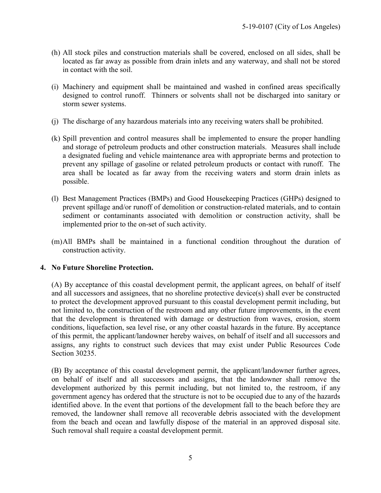- (h) All stock piles and construction materials shall be covered, enclosed on all sides, shall be located as far away as possible from drain inlets and any waterway, and shall not be stored in contact with the soil.
- (i) Machinery and equipment shall be maintained and washed in confined areas specifically designed to control runoff. Thinners or solvents shall not be discharged into sanitary or storm sewer systems.
- (j) The discharge of any hazardous materials into any receiving waters shall be prohibited.
- (k) Spill prevention and control measures shall be implemented to ensure the proper handling and storage of petroleum products and other construction materials. Measures shall include a designated fueling and vehicle maintenance area with appropriate berms and protection to prevent any spillage of gasoline or related petroleum products or contact with runoff. The area shall be located as far away from the receiving waters and storm drain inlets as possible.
- (l) Best Management Practices (BMPs) and Good Housekeeping Practices (GHPs) designed to prevent spillage and/or runoff of demolition or construction-related materials, and to contain sediment or contaminants associated with demolition or construction activity, shall be implemented prior to the on-set of such activity.
- (m)All BMPs shall be maintained in a functional condition throughout the duration of construction activity.

#### **4. No Future Shoreline Protection.**

(A) By acceptance of this coastal development permit, the applicant agrees, on behalf of itself and all successors and assignees, that no shoreline protective device(s) shall ever be constructed to protect the development approved pursuant to this coastal development permit including, but not limited to, the construction of the restroom and any other future improvements, in the event that the development is threatened with damage or destruction from waves, erosion, storm conditions, liquefaction, sea level rise, or any other coastal hazards in the future. By acceptance of this permit, the applicant/landowner hereby waives, on behalf of itself and all successors and assigns, any rights to construct such devices that may exist under Public Resources Code Section 30235.

(B) By acceptance of this coastal development permit, the applicant/landowner further agrees, on behalf of itself and all successors and assigns, that the landowner shall remove the development authorized by this permit including, but not limited to, the restroom, if any government agency has ordered that the structure is not to be occupied due to any of the hazards identified above. In the event that portions of the development fall to the beach before they are removed, the landowner shall remove all recoverable debris associated with the development from the beach and ocean and lawfully dispose of the material in an approved disposal site. Such removal shall require a coastal development permit.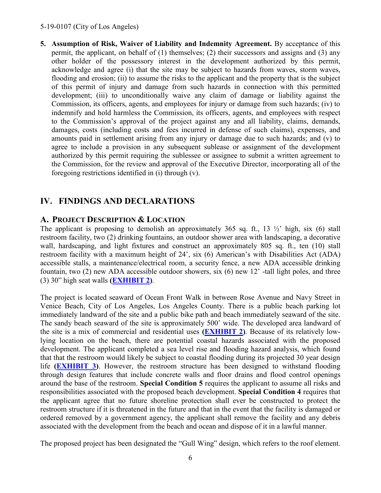#### 5-19-0107 (City of Los Angeles)

**5. Assumption of Risk, Waiver of Liability and Indemnity Agreement.** By acceptance of this permit, the applicant, on behalf of (1) themselves; (2) their successors and assigns and (3) any other holder of the possessory interest in the development authorized by this permit, acknowledge and agree (i) that the site may be subject to hazards from waves, storm waves, flooding and erosion; (ii) to assume the risks to the applicant and the property that is the subject of this permit of injury and damage from such hazards in connection with this permitted development; (iii) to unconditionally waive any claim of damage or liability against the Commission, its officers, agents, and employees for injury or damage from such hazards; (iv) to indemnify and hold harmless the Commission, its officers, agents, and employees with respect to the Commission's approval of the project against any and all liability, claims, demands, damages, costs (including costs and fees incurred in defense of such claims), expenses, and amounts paid in settlement arising from any injury or damage due to such hazards; and (v) to agree to include a provision in any subsequent sublease or assignment of the development authorized by this permit requiring the sublessee or assignee to submit a written agreement to the Commission, for the review and approval of the Executive Director, incorporating all of the foregoing restrictions identified in (i) through (v).

# <span id="page-5-0"></span>**IV. FINDINGS AND DECLARATIONS**

### <span id="page-5-1"></span>**A. PROJECT DESCRIPTION & LOCATION**

The applicant is proposing to demolish an approximately 365 sq. ft., 13  $\frac{1}{2}$  high, six (6) stall restroom facility, two (2) drinking fountains, an outdoor shower area with landscaping, a decorative wall, hardscaping, and light fixtures and construct an approximately 805 sq. ft., ten (10) stall restroom facility with a maximum height of 24', six (6) American's with Disabilities Act (ADA) accessible stalls, a maintenance/electrical room, a security fence, a new ADA accessible drinking fountain, two (2) new ADA accessible outdoor showers, six (6) new 12' -tall light poles, and three (3) 30" high seat walls **[\(EXHIBIT 2\)](https://documents.coastal.ca.gov/reports/2019/5/W9a/W9a-5-2019-exhibits.pdf)**.

The project is located seaward of Ocean Front Walk in between Rose Avenue and Navy Street in Venice Beach, City of Los Angeles, Los Angeles County. There is a public beach parking lot immediately landward of the site and a public bike path and beach immediately seaward of the site. The sandy beach seaward of the site is approximately 500' wide. The developed area landward of the site is a mix of commercial and residential uses **[\(EXHIBIT 2\)](https://documents.coastal.ca.gov/reports/2019/5/W9a/W9a-5-2019-exhibits.pdf)**. Because of its relatively lowlying location on the beach, there are potential coastal hazards associated with the proposed development. The applicant completed a sea level rise and flooding hazard analysis, which found that that the restroom would likely be subject to coastal flooding during its projected 30 year design life **[\(EXHIBIT 3\)](https://documents.coastal.ca.gov/reports/2019/5/W9a/W9a-5-2019-exhibits.pdf)**. However, the restroom structure has been designed to withstand flooding through design features that include concrete walls and floor drains and flood control openings around the base of the restroom. **Special Condition 5** requires the applicant to assume all risks and responsibilities associated with the proposed beach development. **Special Condition 4** requires that the applicant agree that no future shoreline protection shall ever be constructed to protect the restroom structure if it is threatened in the future and that in the event that the facility is damaged or ordered removed by a government agency, the applicant shall remove the facility and any debris associated with the development from the beach and ocean and dispose of it in a lawful manner.

The proposed project has been designated the "Gull Wing" design, which refers to the roof element.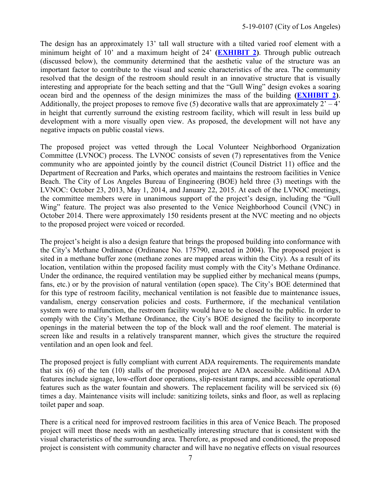The design has an approximately 13' tall wall structure with a tilted varied roof element with a minimum height of 10' and a maximum height of 24' **[\(EXHIBIT 2\)](https://documents.coastal.ca.gov/reports/2019/5/W9a/W9a-5-2019-exhibits.pdf)**. Through public outreach (discussed below), the community determined that the aesthetic value of the structure was an important factor to contribute to the visual and scenic characteristics of the area. The community resolved that the design of the restroom should result in an innovative structure that is visually interesting and appropriate for the beach setting and that the "Gull Wing" design evokes a soaring ocean bird and the openness of the design minimizes the mass of the building **[\(EXHIBIT 2\)](https://documents.coastal.ca.gov/reports/2019/5/W9a/W9a-5-2019-exhibits.pdf)**. Additionally, the project proposes to remove five (5) decorative walls that are approximately  $2^{\prime} - 4^{\prime}$ in height that currently surround the existing restroom facility, which will result in less build up development with a more visually open view. As proposed, the development will not have any negative impacts on public coastal views.

The proposed project was vetted through the Local Volunteer Neighborhood Organization Committee (LVNOC) process. The LVNOC consists of seven (7) representatives from the Venice community who are appointed jointly by the council district (Council District 11) office and the Department of Recreation and Parks, which operates and maintains the restroom facilities in Venice Beach. The City of Los Angeles Bureau of Engineering (BOE) held three (3) meetings with the LVNOC: October 23, 2013, May 1, 2014, and January 22, 2015. At each of the LVNOC meetings, the committee members were in unanimous support of the project's design, including the "Gull Wing" feature. The project was also presented to the Venice Neighborhood Council (VNC) in October 2014. There were approximately 150 residents present at the NVC meeting and no objects to the proposed project were voiced or recorded.

The project's height is also a design feature that brings the proposed building into conformance with the City's Methane Ordinance (Ordinance No. 175790, enacted in 2004). The proposed project is sited in a methane buffer zone (methane zones are mapped areas within the City). As a result of its location, ventilation within the proposed facility must comply with the City's Methane Ordinance. Under the ordinance, the required ventilation may be supplied either by mechanical means (pumps, fans, etc.) or by the provision of natural ventilation (open space). The City's BOE determined that for this type of restroom facility, mechanical ventilation is not feasible due to maintenance issues, vandalism, energy conservation policies and costs. Furthermore, if the mechanical ventilation system were to malfunction, the restroom facility would have to be closed to the public. In order to comply with the City's Methane Ordinance, the City's BOE designed the facility to incorporate openings in the material between the top of the block wall and the roof element. The material is screen like and results in a relatively transparent manner, which gives the structure the required ventilation and an open look and feel.

The proposed project is fully compliant with current ADA requirements. The requirements mandate that six (6) of the ten (10) stalls of the proposed project are ADA accessible. Additional ADA features include signage, low-effort door operations, slip-resistant ramps, and accessible operational features such as the water fountain and showers. The replacement facility will be serviced six (6) times a day. Maintenance visits will include: sanitizing toilets, sinks and floor, as well as replacing toilet paper and soap.

There is a critical need for improved restroom facilities in this area of Venice Beach. The proposed project will meet those needs with an aesthetically interesting structure that is consistent with the visual characteristics of the surrounding area. Therefore, as proposed and conditioned, the proposed project is consistent with community character and will have no negative effects on visual resources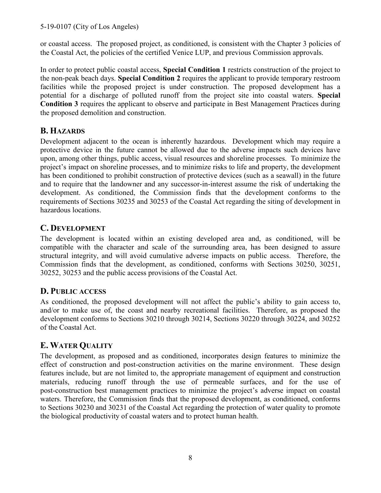or coastal access. The proposed project, as conditioned, is consistent with the Chapter 3 policies of the Coastal Act, the policies of the certified Venice LUP, and previous Commission approvals.

In order to protect public coastal access, **Special Condition 1** restricts construction of the project to the non-peak beach days. **Special Condition 2** requires the applicant to provide temporary restroom facilities while the proposed project is under construction. The proposed development has a potential for a discharge of polluted runoff from the project site into coastal waters. **Special Condition 3** requires the applicant to observe and participate in Best Management Practices during the proposed demolition and construction.

# <span id="page-7-0"></span>**B. HAZARDS**

Development adjacent to the ocean is inherently hazardous. Development which may require a protective device in the future cannot be allowed due to the adverse impacts such devices have upon, among other things, public access, visual resources and shoreline processes. To minimize the project's impact on shoreline processes, and to minimize risks to life and property, the development has been conditioned to prohibit construction of protective devices (such as a seawall) in the future and to require that the landowner and any successor-in-interest assume the risk of undertaking the development. As conditioned, the Commission finds that the development conforms to the requirements of Sections 30235 and 30253 of the Coastal Act regarding the siting of development in hazardous locations.

### <span id="page-7-1"></span>**C. DEVELOPMENT**

The development is located within an existing developed area and, as conditioned, will be compatible with the character and scale of the surrounding area, has been designed to assure structural integrity, and will avoid cumulative adverse impacts on public access. Therefore, the Commission finds that the development, as conditioned, conforms with Sections 30250, 30251, 30252, 30253 and the public access provisions of the Coastal Act.

### <span id="page-7-2"></span>**D. PUBLIC ACCESS**

As conditioned, the proposed development will not affect the public's ability to gain access to, and/or to make use of, the coast and nearby recreational facilities. Therefore, as proposed the development conforms to Sections 30210 through 30214, Sections 30220 through 30224, and 30252 of the Coastal Act.

# <span id="page-7-3"></span>**E. WATER QUALITY**

The development, as proposed and as conditioned, incorporates design features to minimize the effect of construction and post-construction activities on the marine environment. These design features include, but are not limited to, the appropriate management of equipment and construction materials, reducing runoff through the use of permeable surfaces, and for the use of post-construction best management practices to minimize the project's adverse impact on coastal waters. Therefore, the Commission finds that the proposed development, as conditioned, conforms to Sections 30230 and 30231 of the Coastal Act regarding the protection of water quality to promote the biological productivity of coastal waters and to protect human health.